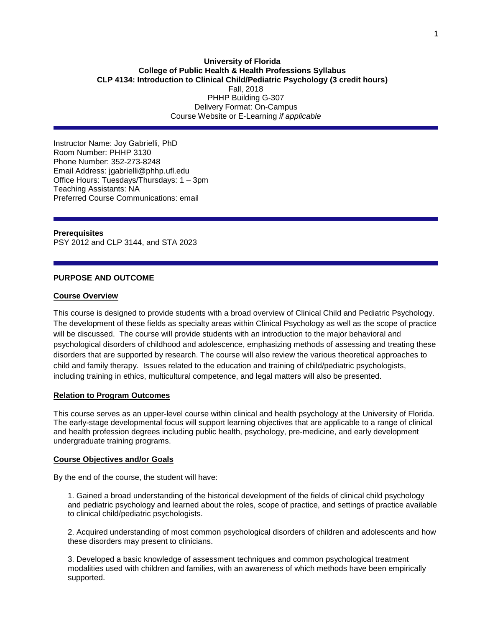## **University of Florida College of Public Health & Health Professions Syllabus CLP 4134: Introduction to Clinical Child/Pediatric Psychology (3 credit hours)** Fall, 2018 PHHP Building G-307 Delivery Format: On-Campus Course Website or E-Learning *if applicable*

Instructor Name: Joy Gabrielli, PhD Room Number: PHHP 3130 Phone Number: 352-273-8248 Email Address: jgabrielli@phhp.ufl.edu Office Hours: Tuesdays/Thursdays: 1 – 3pm Teaching Assistants: NA Preferred Course Communications: email

#### **Prerequisites**

PSY [2012](https://catalog.ufl.edu/search/?P=PSY%202012) and CLP [3144,](https://catalog.ufl.edu/search/?P=CLP%203144) and STA [2023](https://catalog.ufl.edu/search/?P=STA%202023)

## **PURPOSE AND OUTCOME**

### **Course Overview**

This course is designed to provide students with a broad overview of Clinical Child and Pediatric Psychology. The development of these fields as specialty areas within Clinical Psychology as well as the scope of practice will be discussed. The course will provide students with an introduction to the major behavioral and psychological disorders of childhood and adolescence, emphasizing methods of assessing and treating these disorders that are supported by research. The course will also review the various theoretical approaches to child and family therapy. Issues related to the education and training of child/pediatric psychologists, including training in ethics, multicultural competence, and legal matters will also be presented.

### **Relation to Program Outcomes**

This course serves as an upper-level course within clinical and health psychology at the University of Florida. The early-stage developmental focus will support learning objectives that are applicable to a range of clinical and health profession degrees including public health, psychology, pre-medicine, and early development undergraduate training programs.

#### **Course Objectives and/or Goals**

By the end of the course, the student will have:

1. Gained a broad understanding of the historical development of the fields of clinical child psychology and pediatric psychology and learned about the roles, scope of practice, and settings of practice available to clinical child/pediatric psychologists.

2. Acquired understanding of most common psychological disorders of children and adolescents and how these disorders may present to clinicians.

3. Developed a basic knowledge of assessment techniques and common psychological treatment modalities used with children and families, with an awareness of which methods have been empirically supported.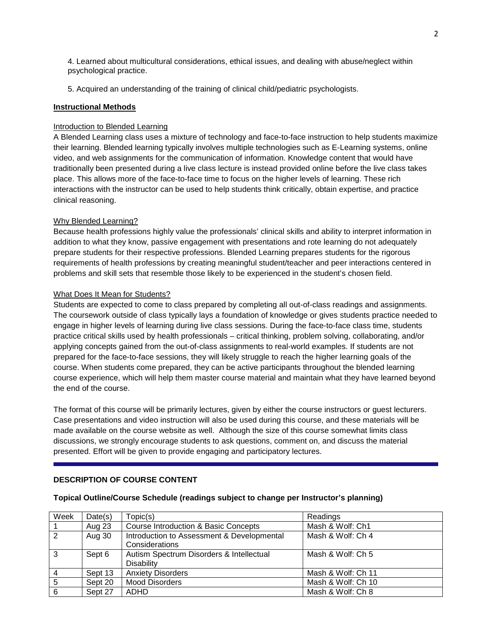4. Learned about multicultural considerations, ethical issues, and dealing with abuse/neglect within psychological practice.

5. Acquired an understanding of the training of clinical child/pediatric psychologists.

# **Instructional Methods**

# Introduction to Blended Learning

A Blended Learning class uses a mixture of technology and face-to-face instruction to help students maximize their learning. Blended learning typically involves multiple technologies such as E-Learning systems, online video, and web assignments for the communication of information. Knowledge content that would have traditionally been presented during a live class lecture is instead provided online before the live class takes place. This allows more of the face-to-face time to focus on the higher levels of learning. These rich interactions with the instructor can be used to help students think critically, obtain expertise, and practice clinical reasoning.

# Why Blended Learning?

Because health professions highly value the professionals' clinical skills and ability to interpret information in addition to what they know, passive engagement with presentations and rote learning do not adequately prepare students for their respective professions. Blended Learning prepares students for the rigorous requirements of health professions by creating meaningful student/teacher and peer interactions centered in problems and skill sets that resemble those likely to be experienced in the student's chosen field.

# What Does It Mean for Students?

Students are expected to come to class prepared by completing all out-of-class readings and assignments. The coursework outside of class typically lays a foundation of knowledge or gives students practice needed to engage in higher levels of learning during live class sessions. During the face-to-face class time, students practice critical skills used by health professionals – critical thinking, problem solving, collaborating, and/or applying concepts gained from the out-of-class assignments to real-world examples. If students are not prepared for the face-to-face sessions, they will likely struggle to reach the higher learning goals of the course. When students come prepared, they can be active participants throughout the blended learning course experience, which will help them master course material and maintain what they have learned beyond the end of the course.

The format of this course will be primarily lectures, given by either the course instructors or guest lecturers. Case presentations and video instruction will also be used during this course, and these materials will be made available on the course website as well. Although the size of this course somewhat limits class discussions, we strongly encourage students to ask questions, comment on, and discuss the material presented. Effort will be given to provide engaging and participatory lectures.

# **DESCRIPTION OF COURSE CONTENT**

#### Week Date(s) | Topic(s)  $\sqrt{R}$  Readings 1 Aug 23 Course Introduction & Basic Concepts Mash & Wolf: Ch1<br>2 Aug 30 Introduction to Assessment & Developmental Mash & Wolf: Ch 4 Aug 30 | Introduction to Assessment & Developmental **Considerations** Mash & Wolf: Ch 4 3 Sept 6 Autism Spectrum Disorders & Intellectual **Disability** Mash & Wolf: Ch 5 4 Sept 13 Anxiety Disorders Mash & Wolf: Ch 11 5 Sept 20 | Mood Disorders Mash & Wolf: Ch 10 6 Sept 27 ADHD Mash & Wolf: Ch 8

## **Topical Outline/Course Schedule (readings subject to change per Instructor's planning)**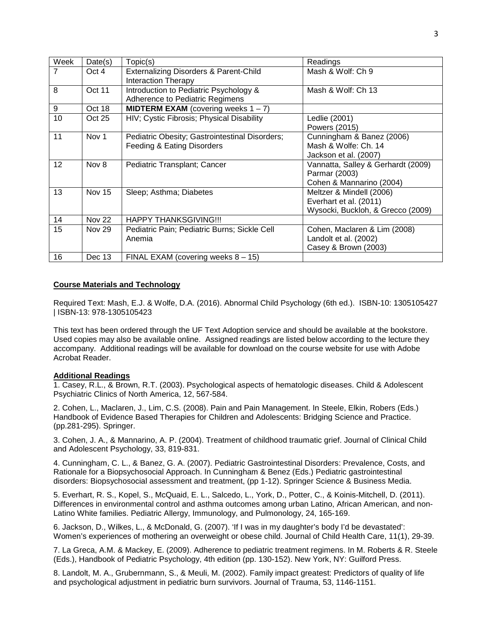| Week | Date(s)       | Topic(s)                                       | Readings                           |
|------|---------------|------------------------------------------------|------------------------------------|
| 7    | Oct 4         | Externalizing Disorders & Parent-Child         | Mash & Wolf: Ch 9                  |
|      |               | <b>Interaction Therapy</b>                     |                                    |
| 8    | Oct 11        | Introduction to Pediatric Psychology &         | Mash & Wolf: Ch 13                 |
|      |               | Adherence to Pediatric Regimens                |                                    |
| 9    | Oct 18        | <b>MIDTERM EXAM</b> (covering weeks $1 - 7$ )  |                                    |
| 10   | Oct 25        | HIV; Cystic Fibrosis; Physical Disability      | Ledlie (2001)                      |
|      |               |                                                | Powers (2015)                      |
| 11   | Nov 1         | Pediatric Obesity; Gastrointestinal Disorders; | Cunningham & Banez (2006)          |
|      |               | Feeding & Eating Disorders                     | Mash & Wolfe: Ch. 14               |
|      |               |                                                | Jackson et al. (2007)              |
| 12   | Nov 8         | Pediatric Transplant; Cancer                   | Vannatta, Salley & Gerhardt (2009) |
|      |               |                                                | Parmar (2003)                      |
|      |               |                                                | Cohen & Mannarino (2004)           |
| 13   | Nov 15        | Sleep; Asthma; Diabetes                        | Meltzer & Mindell (2006)           |
|      |               |                                                | Everhart et al. (2011)             |
|      |               |                                                | Wysocki, Buckloh, & Grecco (2009)  |
| 14   | <b>Nov 22</b> | <b>HAPPY THANKSGIVING!!!</b>                   |                                    |
| 15   | <b>Nov 29</b> | Pediatric Pain; Pediatric Burns; Sickle Cell   | Cohen, Maclaren & Lim (2008)       |
|      |               | Anemia                                         | Landolt et al. (2002)              |
|      |               |                                                | Casey & Brown (2003)               |
| 16   | Dec 13        | FINAL EXAM (covering weeks $8 - 15$ )          |                                    |

## **Course Materials and Technology**

Required Text: Mash, E.J. & Wolfe, D.A. (2016). Abnormal Child Psychology (6th ed.). ISBN-10: 1305105427 | ISBN-13: 978-1305105423

This text has been ordered through the UF Text Adoption service and should be available at the bookstore. Used copies may also be available online. Assigned readings are listed below according to the lecture they accompany. Additional readings will be available for download on the course website for use with Adobe Acrobat Reader.

#### **Additional Readings**

1. Casey, R.L., & Brown, R.T. (2003). Psychological aspects of hematologic diseases. Child & Adolescent Psychiatric Clinics of North America, 12, 567-584.

2. Cohen, L., Maclaren, J., Lim, C.S. (2008). Pain and Pain Management. In Steele, Elkin, Robers (Eds.) Handbook of Evidence Based Therapies for Children and Adolescents: Bridging Science and Practice. (pp.281-295). Springer.

3. Cohen, J. A., & Mannarino, A. P. (2004). Treatment of childhood traumatic grief. Journal of Clinical Child and Adolescent Psychology, 33, 819-831.

4. Cunningham, C. L., & Banez, G. A. (2007). Pediatric Gastrointestinal Disorders: Prevalence, Costs, and Rationale for a Biopsychosocial Approach. In Cunningham & Benez (Eds.) Pediatric gastrointestinal disorders: Biopsychosocial assessment and treatment, (pp 1-12). Springer Science & Business Media.

5. Everhart, R. S., Kopel, S., McQuaid, E. L., Salcedo, L., York, D., Potter, C., & Koinis-Mitchell, D. (2011). Differences in environmental control and asthma outcomes among urban Latino, African American, and non-Latino White families. Pediatric Allergy, Immunology, and Pulmonology, 24, 165-169.

6. Jackson, D., Wilkes, L., & McDonald, G. (2007). 'If I was in my daughter's body I'd be devastated': Women's experiences of mothering an overweight or obese child. Journal of Child Health Care, 11(1), 29-39.

7. La Greca, A.M. & Mackey, E. (2009). Adherence to pediatric treatment regimens. In M. Roberts & R. Steele (Eds.), Handbook of Pediatric Psychology, 4th edition (pp. 130-152). New York, NY: Guilford Press.

8. Landolt, M. A., Grubernmann, S., & Meuli, M. (2002). Family impact greatest: Predictors of quality of life and psychological adjustment in pediatric burn survivors. Journal of Trauma, 53, 1146-1151.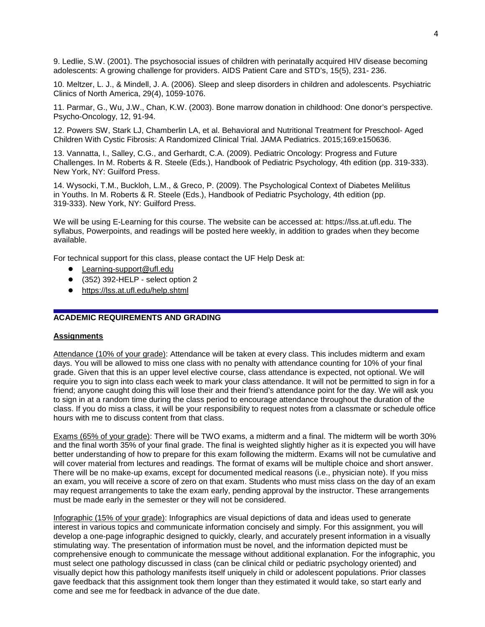9. Ledlie, S.W. (2001). The psychosocial issues of children with perinatally acquired HIV disease becoming adolescents: A growing challenge for providers. AIDS Patient Care and STD's, 15(5), 231- 236.

10. Meltzer, L. J., & Mindell, J. A. (2006). Sleep and sleep disorders in children and adolescents. Psychiatric Clinics of North America, 29(4), 1059-1076.

11. Parmar, G., Wu, J.W., Chan, K.W. (2003). Bone marrow donation in childhood: One donor's perspective. Psycho-Oncology, 12, 91-94.

12. Powers SW, Stark LJ, Chamberlin LA, et al. Behavioral and Nutritional Treatment for Preschool- Aged Children With Cystic Fibrosis: A Randomized Clinical Trial. JAMA Pediatrics. 2015;169:e150636.

13. Vannatta, I., Salley, C.G., and Gerhardt, C.A. (2009). Pediatric Oncology: Progress and Future Challenges. In M. Roberts & R. Steele (Eds.), Handbook of Pediatric Psychology, 4th edition (pp. 319-333). New York, NY: Guilford Press.

14. Wysocki, T.M., Buckloh, L.M., & Greco, P. (2009). The Psychological Context of Diabetes Melilitus in Youths. In M. Roberts & R. Steele (Eds.), Handbook of Pediatric Psychology, 4th edition (pp. 319-333). New York, NY: Guilford Press.

We will be using E-Learning for this course. The website can be accessed at: https://lss.at.ufl.edu. The syllabus, Powerpoints, and readings will be posted here weekly, in addition to grades when they become available.

For technical support for this class, please contact the UF Help Desk at:

- Learning-support@ufl.edu
- (352) 392-HELP select option 2
- <https://lss.at.ufl.edu/help.shtml>

# **ACADEMIC REQUIREMENTS AND GRADING**

#### **Assignments**

Attendance (10% of your grade): Attendance will be taken at every class. This includes midterm and exam days. You will be allowed to miss one class with no penalty with attendance counting for 10% of your final grade. Given that this is an upper level elective course, class attendance is expected, not optional. We will require you to sign into class each week to mark your class attendance. It will not be permitted to sign in for a friend; anyone caught doing this will lose their and their friend's attendance point for the day. We will ask you to sign in at a random time during the class period to encourage attendance throughout the duration of the class. If you do miss a class, it will be your responsibility to request notes from a classmate or schedule office hours with me to discuss content from that class.

Exams (65% of your grade): There will be TWO exams, a midterm and a final. The midterm will be worth 30% and the final worth 35% of your final grade. The final is weighted slightly higher as it is expected you will have better understanding of how to prepare for this exam following the midterm. Exams will not be cumulative and will cover material from lectures and readings. The format of exams will be multiple choice and short answer. There will be no make-up exams, except for documented medical reasons (i.e., physician note). If you miss an exam, you will receive a score of zero on that exam. Students who must miss class on the day of an exam may request arrangements to take the exam early, pending approval by the instructor. These arrangements must be made early in the semester or they will not be considered.

Infographic (15% of your grade): Infographics are visual depictions of data and ideas used to generate interest in various topics and communicate information concisely and simply. For this assignment, you will develop a one-page infographic designed to quickly, clearly, and accurately present information in a visually stimulating way. The presentation of information must be novel, and the information depicted must be comprehensive enough to communicate the message without additional explanation. For the infographic, you must select one pathology discussed in class (can be clinical child or pediatric psychology oriented) and visually depict how this pathology manifests itself uniquely in child or adolescent populations. Prior classes gave feedback that this assignment took them longer than they estimated it would take, so start early and come and see me for feedback in advance of the due date.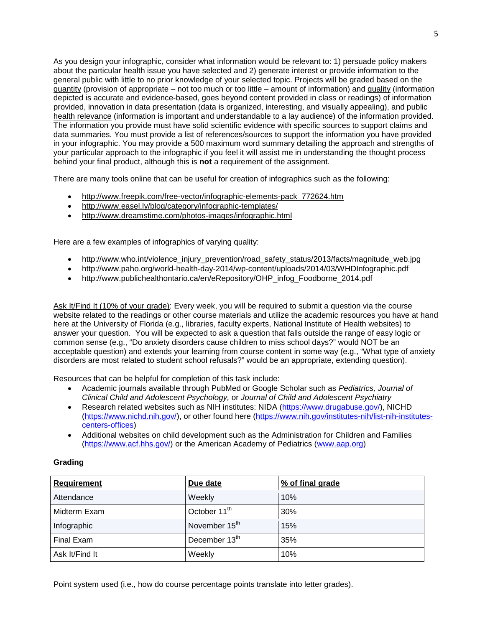As you design your infographic, consider what information would be relevant to: 1) persuade policy makers about the particular health issue you have selected and 2) generate interest or provide information to the general public with little to no prior knowledge of your selected topic. Projects will be graded based on the quantity (provision of appropriate – not too much or too little – amount of information) and quality (information depicted is accurate and evidence-based, goes beyond content provided in class or readings) of information provided, innovation in data presentation (data is organized, interesting, and visually appealing), and public health relevance (information is important and understandable to a lay audience) of the information provided. The information you provide must have solid scientific evidence with specific sources to support claims and data summaries. You must provide a list of references/sources to support the information you have provided in your infographic. You may provide a 500 maximum word summary detailing the approach and strengths of your particular approach to the infographic if you feel it will assist me in understanding the thought process behind your final product, although this is **not** a requirement of the assignment.

There are many tools online that can be useful for creation of infographics such as the following:

- [http://www.freepik.com/free-vector/infographic-elements-pack\\_772624.htm](http://www.freepik.com/free-vector/infographic-elements-pack_772624.htm)
- <http://www.easel.ly/blog/category/infographic-templates/>
- <http://www.dreamstime.com/photos-images/infographic.html>

Here are a few examples of infographics of varying quality:

- http://www.who.int/violence\_injury\_prevention/road\_safety\_status/2013/facts/magnitude\_web.jpg
- http://www.paho.org/world-health-day-2014/wp-content/uploads/2014/03/WHDInfographic.pdf
- http://www.publichealthontario.ca/en/eRepository/OHP\_infog\_Foodborne\_2014.pdf

Ask It/Find It (10% of your grade): Every week, you will be required to submit a question via the course website related to the readings or other course materials and utilize the academic resources you have at hand here at the University of Florida (e.g., libraries, faculty experts, National Institute of Health websites) to answer your question. You will be expected to ask a question that falls outside the range of easy logic or common sense (e.g., "Do anxiety disorders cause children to miss school days?" would NOT be an acceptable question) and extends your learning from course content in some way (e.g., "What type of anxiety disorders are most related to student school refusals?" would be an appropriate, extending question).

Resources that can be helpful for completion of this task include:

- Academic journals available through PubMed or Google Scholar such as *Pediatrics, Journal of Clinical Child and Adolescent Psychology,* or *Journal of Child and Adolescent Psychiatry*
- Research related websites such as NIH institutes: NIDA [\(https://www.drugabuse.gov/\)](https://www.drugabuse.gov/), NICHD [\(https://www.nichd.nih.gov/\)](https://www.nichd.nih.gov/), or other found here [\(https://www.nih.gov/institutes-nih/list-nih-institutes](https://www.nih.gov/institutes-nih/list-nih-institutes-centers-offices)[centers-offices\)](https://www.nih.gov/institutes-nih/list-nih-institutes-centers-offices)
- Additional websites on child development such as the Administration for Children and Families [\(https://www.acf.hhs.gov/\)](https://www.acf.hhs.gov/) or the American Academy of Pediatrics [\(www.aap.org\)](http://www.aap.org/)

| <b>Requirement</b> | Due date                  | % of final grade |  |  |  |  |
|--------------------|---------------------------|------------------|--|--|--|--|
| Attendance         | Weekly                    | 10%              |  |  |  |  |
| Midterm Exam       | October 11 <sup>th</sup>  | 30%              |  |  |  |  |
| Infographic        | November 15 <sup>th</sup> | 15%              |  |  |  |  |
| Final Exam         | December 13th             | 35%              |  |  |  |  |
| Ask It/Find It     | Weekly                    | 10%              |  |  |  |  |

## **Grading**

Point system used (i.e., how do course percentage points translate into letter grades).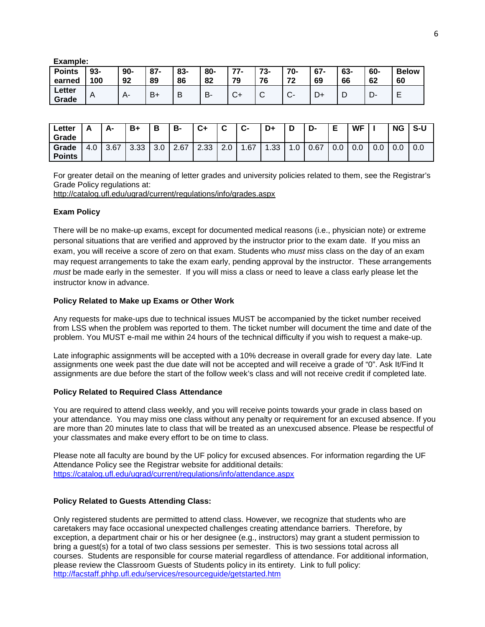| Example:                |               |              |              |           |           |                |             |           |              |           |           |                    |
|-------------------------|---------------|--------------|--------------|-----------|-----------|----------------|-------------|-----------|--------------|-----------|-----------|--------------------|
| <b>Points</b><br>earned | $93 -$<br>100 | $90 -$<br>92 | $87 -$<br>89 | 83-<br>86 | 80-<br>82 | $77-$<br>79    | 73-<br>76   | 70-<br>72 | $67 -$<br>69 | 63-<br>66 | 60-<br>62 | <b>Below</b><br>60 |
| Letter<br>Grade         | A             | $A -$        | $B+$         | B         | В-        | $\cap$ .<br>◡᠇ | $\sim$<br>ັ | $C -$     |              |           | D-        | –                  |

| ∟etter<br>Grade        |               | А-   | B+         | В        | B-   | C+   | $\sim$<br>v             | $\sim$<br>v- | D+   | ◡  | D-   | Е   | <b>WF</b> |     | <b>NG</b> | S-U |
|------------------------|---------------|------|------------|----------|------|------|-------------------------|--------------|------|----|------|-----|-----------|-----|-----------|-----|
| Grade<br><b>Points</b> | $\sim$<br>t.U | 3.67 | ററ<br>ა.აა | ົ<br>ა.u | 2.67 | 2.33 | $\sim$<br>$\sim$<br>Z.U | .67          | 1.33 | .0 | 0.67 | 0.0 | 0.0       | 0.0 | v.v       | v.v |

For greater detail on the meaning of letter grades and university policies related to them, see the Registrar's Grade Policy regulations at:

<http://catalog.ufl.edu/ugrad/current/regulations/info/grades.aspx>

## **Exam Policy**

There will be no make-up exams, except for documented medical reasons (i.e., physician note) or extreme personal situations that are verified and approved by the instructor prior to the exam date. If you miss an exam, you will receive a score of zero on that exam. Students who *must* miss class on the day of an exam may request arrangements to take the exam early, pending approval by the instructor. These arrangements *must* be made early in the semester. If you will miss a class or need to leave a class early please let the instructor know in advance.

# **Policy Related to Make up Exams or Other Work**

Any requests for make-ups due to technical issues MUST be accompanied by the ticket number received from LSS when the problem was reported to them. The ticket number will document the time and date of the problem. You MUST e-mail me within 24 hours of the technical difficulty if you wish to request a make-up.

Late infographic assignments will be accepted with a 10% decrease in overall grade for every day late. Late assignments one week past the due date will not be accepted and will receive a grade of "0". Ask It/Find It assignments are due before the start of the follow week's class and will not receive credit if completed late.

## **Policy Related to Required Class Attendance**

You are required to attend class weekly, and you will receive points towards your grade in class based on your attendance. You may miss one class without any penalty or requirement for an excused absence. If you are more than 20 minutes late to class that will be treated as an unexcused absence. Please be respectful of your classmates and make every effort to be on time to class.

Please note all faculty are bound by the UF policy for excused absences. For information regarding the UF Attendance Policy see the Registrar website for additional details: <https://catalog.ufl.edu/ugrad/current/regulations/info/attendance.aspx>

## **Policy Related to Guests Attending Class:**

Only registered students are permitted to attend class. However, we recognize that students who are caretakers may face occasional unexpected challenges creating attendance barriers. Therefore, by exception, a department chair or his or her designee (e.g., instructors) may grant a student permission to bring a guest(s) for a total of two class sessions per semester. This is two sessions total across all courses. Students are responsible for course material regardless of attendance. For additional information, please review the Classroom Guests of Students policy in its entirety. Link to full policy: <http://facstaff.phhp.ufl.edu/services/resourceguide/getstarted.htm>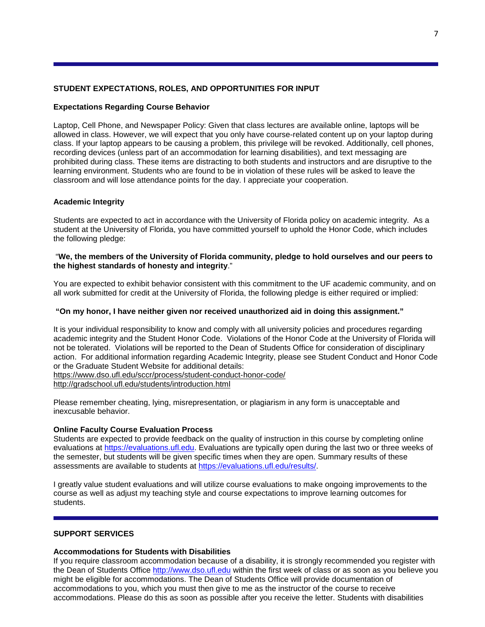# **STUDENT EXPECTATIONS, ROLES, AND OPPORTUNITIES FOR INPUT**

## **Expectations Regarding Course Behavior**

Laptop, Cell Phone, and Newspaper Policy: Given that class lectures are available online, laptops will be allowed in class. However, we will expect that you only have course-related content up on your laptop during class. If your laptop appears to be causing a problem, this privilege will be revoked. Additionally, cell phones, recording devices (unless part of an accommodation for learning disabilities), and text messaging are prohibited during class. These items are distracting to both students and instructors and are disruptive to the learning environment. Students who are found to be in violation of these rules will be asked to leave the classroom and will lose attendance points for the day. I appreciate your cooperation.

### **Academic Integrity**

Students are expected to act in accordance with the University of Florida policy on academic integrity. As a student at the University of Florida, you have committed yourself to uphold the Honor Code, which includes the following pledge:

## "**We, the members of the University of Florida community, pledge to hold ourselves and our peers to the highest standards of honesty and integrity**."

You are expected to exhibit behavior consistent with this commitment to the UF academic community, and on all work submitted for credit at the University of Florida, the following pledge is either required or implied:

## **"On my honor, I have neither given nor received unauthorized aid in doing this assignment."**

It is your individual responsibility to know and comply with all university policies and procedures regarding academic integrity and the Student Honor Code. Violations of the Honor Code at the University of Florida will not be tolerated. Violations will be reported to the Dean of Students Office for consideration of disciplinary action. For additional information regarding Academic Integrity, please see Student Conduct and Honor Code or the Graduate Student Website for additional details: <https://www.dso.ufl.edu/sccr/process/student-conduct-honor-code/>

<http://gradschool.ufl.edu/students/introduction.html>

Please remember cheating, lying, misrepresentation, or plagiarism in any form is unacceptable and inexcusable behavior.

#### **Online Faculty Course Evaluation Process**

Students are expected to provide feedback on the quality of instruction in this course by completing online evaluations at [https://evaluations.ufl.edu.](https://evaluations.ufl.edu/) Evaluations are typically open during the last two or three weeks of the semester, but students will be given specific times when they are open. Summary results of these assessments are available to students at [https://evaluations.ufl.edu/results/.](https://evaluations.ufl.edu/results/)

I greatly value student evaluations and will utilize course evaluations to make ongoing improvements to the course as well as adjust my teaching style and course expectations to improve learning outcomes for students.

### **SUPPORT SERVICES**

#### **Accommodations for Students with Disabilities**

If you require classroom accommodation because of a disability, it is strongly recommended you register with the Dean of Students Office [http://www.dso.ufl.edu](http://www.dso.ufl.edu/) within the first week of class or as soon as you believe you might be eligible for accommodations. The Dean of Students Office will provide documentation of accommodations to you, which you must then give to me as the instructor of the course to receive accommodations. Please do this as soon as possible after you receive the letter. Students with disabilities